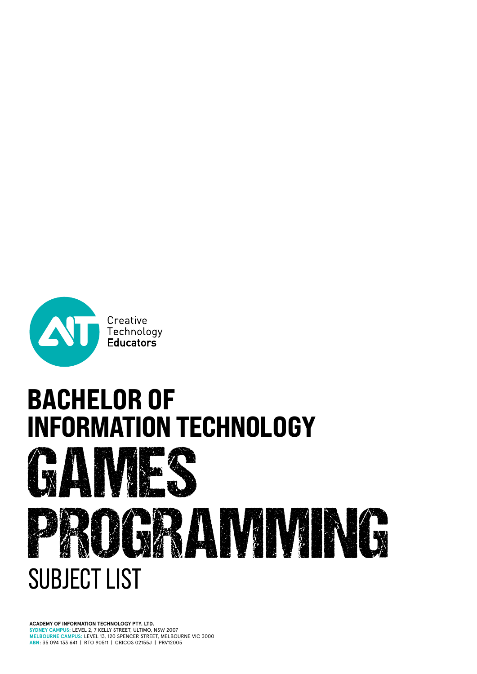

# BACHELOR OF<br>INFORMATION TECHNOLOGY



**ACADEMY OF INFORMATION TECHNOLOGY PTY. LTD. SYDNEY CAMPUS:** LEVEL 2, 7 KELLY STREET, ULTIMO, NSW 2007 **MELBOURNE CAMPUS:** LEVEL 13, 120 SPENCER STREET, MELBOURNE VIC 3000 **ABN**: 35 094 133 641 | RTO 90511 | CRICOS 02155J | PRV12005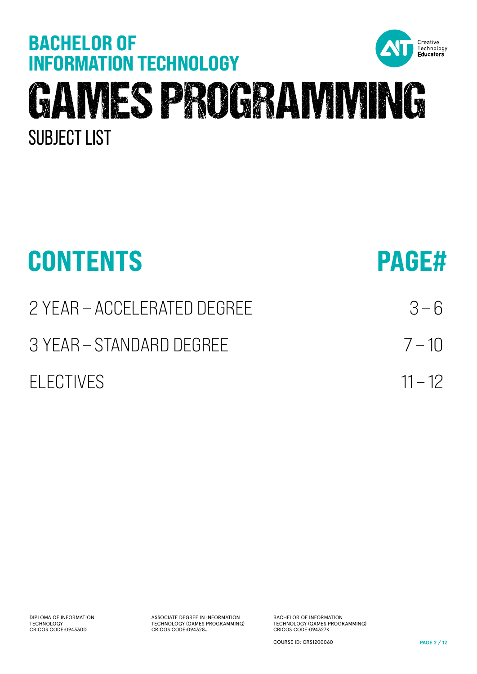

| <b>CONTENTS</b>             | <b>PAGE#</b> |
|-----------------------------|--------------|
| 2 YEAR – ACCELERATED DEGREE | $3 - 6$      |
| 3 YEAR – STANDARD DEGREE    | $7 - 10$     |
| FI FCTIVES                  | $11 - 12$    |

ASSOCIATE DEGREE IN INFORMATION TECHNOLOGY (GAMES PROGRAMMING) CRICOS CODE:094328J

BACHELOR OF INFORMATION TECHNOLOGY (GAMES PROGRAMMING) CRICOS CODE:094327K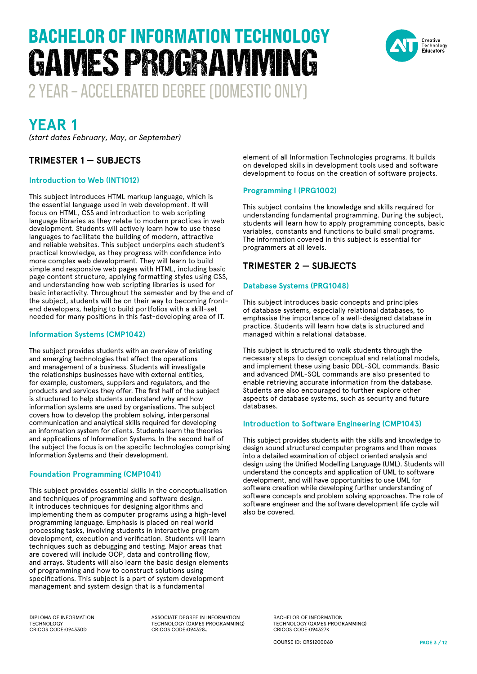

## **YEAR 1**

*(start dates February, May, or September)*

#### **TRIMESTER 1 — SUBJECTS**

#### **Introduction to Web (INT1012)**

This subject introduces HTML markup language, which is the essential language used in web development. It will focus on HTML, CSS and introduction to web scripting language libraries as they relate to modern practices in web development. Students will actively learn how to use these languages to facilitate the building of modern, attractive and reliable websites. This subject underpins each student's practical knowledge, as they progress with confidence into more complex web development. They will learn to build simple and responsive web pages with HTML, including basic page content structure, applying formatting styles using CSS, and understanding how web scripting libraries is used for basic interactivity. Throughout the semester and by the end of the subject, students will be on their way to becoming frontend developers, helping to build portfolios with a skill-set needed for many positions in this fast-developing area of IT.

#### **Information Systems (CMP1042)**

The subject provides students with an overview of existing and emerging technologies that affect the operations and management of a business. Students will investigate the relationships businesses have with external entities, for example, customers, suppliers and regulators, and the products and services they offer. The first half of the subject is structured to help students understand why and how information systems are used by organisations. The subject covers how to develop the problem solving, interpersonal communication and analytical skills required for developing an information system for clients. Students learn the theories and applications of Information Systems. In the second half of the subject the focus is on the specific technologies comprising Information Systems and their development.

#### **Foundation Programming (CMP1041)**

This subject provides essential skills in the conceptualisation and techniques of programming and software design. It introduces techniques for designing algorithms and implementing them as computer programs using a high-level programming language. Emphasis is placed on real world processing tasks, involving students in interactive program development, execution and verification. Students will learn techniques such as debugging and testing. Major areas that are covered will include OOP, data and controlling flow, and arrays. Students will also learn the basic design elements of programming and how to construct solutions using specifications. This subject is a part of system development management and system design that is a fundamental

element of all Information Technologies programs. It builds on developed skills in development tools used and software development to focus on the creation of software projects.

#### **Programming I (PRG1002)**

This subject contains the knowledge and skills required for understanding fundamental programming. During the subject, students will learn how to apply programming concepts, basic variables, constants and functions to build small programs. The information covered in this subject is essential for programmers at all levels.

#### **TRIMESTER 2 — SUBJECTS**

#### **Database Systems (PRG1048)**

This subject introduces basic concepts and principles of database systems, especially relational databases, to emphasise the importance of a well-designed database in practice. Students will learn how data is structured and managed within a relational database.

This subject is structured to walk students through the necessary steps to design conceptual and relational models, and implement these using basic DDL-SQL commands. Basic and advanced DML-SQL commands are also presented to enable retrieving accurate information from the database. Students are also encouraged to further explore other aspects of database systems, such as security and future databases.

#### **Introduction to Software Engineering (CMP1043)**

This subject provides students with the skills and knowledge to design sound structured computer programs and then moves into a detailed examination of object oriented analysis and design using the Unified Modelling Language (UML). Students will understand the concepts and application of UML to software development, and will have opportunities to use UML for software creation while developing further understanding of software concepts and problem solving approaches. The role of software engineer and the software development life cycle will also be covered.

DIPLOMA OF INFORMATION TECHNOLOGY CRICOS CODE:094330D

ASSOCIATE DEGREE IN INFORMATION TECHNOLOGY (GAMES PROGRAMMING) CRICOS CODE:094328J

BACHELOR OF INFORMATION TECHNOLOGY (GAMES PROGRAMMING) CRICOS CODE:094327K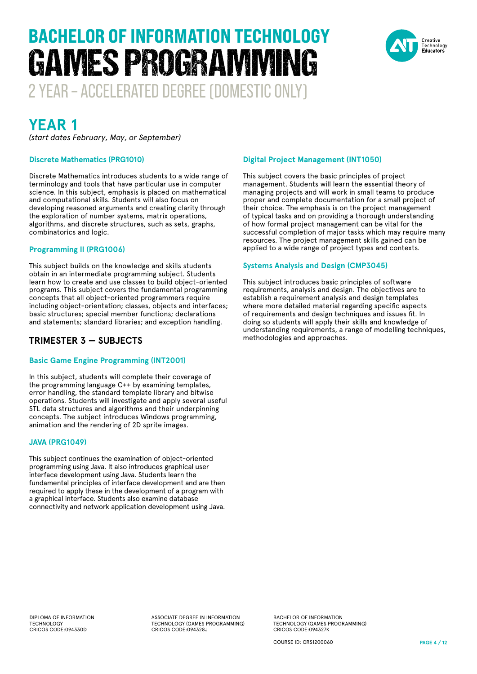

# **YEAR 1**

*(start dates February, May, or September)*

#### **Discrete Mathematics (PRG1010)**

Discrete Mathematics introduces students to a wide range of terminology and tools that have particular use in computer science. In this subject, emphasis is placed on mathematical and computational skills. Students will also focus on developing reasoned arguments and creating clarity through the exploration of number systems, matrix operations, algorithms, and discrete structures, such as sets, graphs, combinatorics and logic.

#### **Programming II (PRG1006)**

This subject builds on the knowledge and skills students obtain in an intermediate programming subject. Students learn how to create and use classes to build object-oriented programs. This subject covers the fundamental programming concepts that all object-oriented programmers require including object-orientation; classes, objects and interfaces; basic structures; special member functions; declarations and statements; standard libraries; and exception handling.

#### **TRIMESTER 3 — SUBJECTS**

#### **Basic Game Engine Programming (INT2001)**

In this subject, students will complete their coverage of the programming language C++ by examining templates, error handling, the standard template library and bitwise operations. Students will investigate and apply several useful STL data structures and algorithms and their underpinning concepts. The subject introduces Windows programming, animation and the rendering of 2D sprite images.

#### **JAVA (PRG1049)**

This subject continues the examination of object-oriented programming using Java. It also introduces graphical user interface development using Java. Students learn the fundamental principles of interface development and are then required to apply these in the development of a program with a graphical interface. Students also examine database connectivity and network application development using Java.

#### **Digital Project Management (INT1050)**

This subject covers the basic principles of project management. Students will learn the essential theory of managing projects and will work in small teams to produce proper and complete documentation for a small project of their choice. The emphasis is on the project management of typical tasks and on providing a thorough understanding of how formal project management can be vital for the successful completion of major tasks which may require many resources. The project management skills gained can be applied to a wide range of project types and contexts.

#### **Systems Analysis and Design (CMP3045)**

This subject introduces basic principles of software requirements, analysis and design. The objectives are to establish a requirement analysis and design templates where more detailed material regarding specific aspects of requirements and design techniques and issues fit. In doing so students will apply their skills and knowledge of understanding requirements, a range of modelling techniques, methodologies and approaches.

DIPLOMA OF INFORMATION TECHNOLOGY CRICOS CODE:094330D

ASSOCIATE DEGREE IN INFORMATION TECHNOLOGY (GAMES PROGRAMMING) CRICOS CODE:094328J

BACHELOR OF INFORMATION TECHNOLOGY (GAMES PROGRAMMING) CRICOS CODE:094327K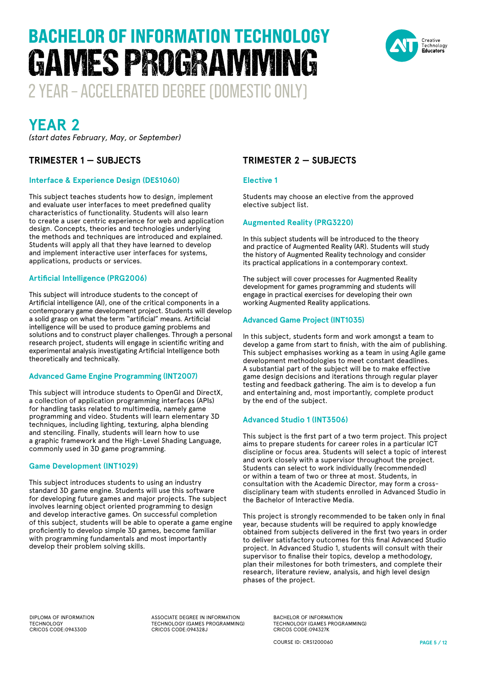

## **YEAR 2**

*(start dates February, May, or September)*

#### **TRIMESTER 1 — SUBJECTS**

#### **Interface & Experience Design (DES1060)**

This subject teaches students how to design, implement and evaluate user interfaces to meet predefined quality characteristics of functionality. Students will also learn to create a user centric experience for web and application design. Concepts, theories and technologies underlying the methods and techniques are introduced and explained. Students will apply all that they have learned to develop and implement interactive user interfaces for systems, applications, products or services.

#### **Artificial Intelligence (PRG2006)**

This subject will introduce students to the concept of Artificial intelligence (AI), one of the critical components in a contemporary game development project. Students will develop a solid grasp on what the term "artificial" means. Artificial intelligence will be used to produce gaming problems and solutions and to construct player challenges. Through a personal research project, students will engage in scientific writing and experimental analysis investigating Artificial Intelligence both theoretically and technically.

#### **Advanced Game Engine Programming (INT2007)**

This subject will introduce students to OpenGl and DirectX, a collection of application programming interfaces (APIs) for handling tasks related to multimedia, namely game programming and video. Students will learn elementary 3D techniques, including lighting, texturing, alpha blending and stenciling. Finally, students will learn how to use a graphic framework and the High-Level Shading Language, commonly used in 3D game programming.

#### **Game Development (INT1029)**

This subject introduces students to using an industry standard 3D game engine. Students will use this software for developing future games and major projects. The subject involves learning object oriented programming to design and develop interactive games. On successful completion of this subject, students will be able to operate a game engine proficiently to develop simple 3D games, become familiar with programming fundamentals and most importantly develop their problem solving skills.

#### **TRIMESTER 2 — SUBJECTS**

#### **Elective 1**

Students may choose an elective from the approved elective subject list.

#### **Augmented Reality (PRG3220)**

In this subject students will be introduced to the theory and practice of Augmented Reality (AR). Students will study the history of Augmented Reality technology and consider its practical applications in a contemporary context.

The subject will cover processes for Augmented Reality development for games programming and students will engage in practical exercises for developing their own working Augmented Reality applications.

#### **Advanced Game Project (INT1035)**

In this subject, students form and work amongst a team to develop a game from start to finish, with the aim of publishing. This subject emphasises working as a team in using Agile game development methodologies to meet constant deadlines. A substantial part of the subject will be to make effective game design decisions and iterations through regular player testing and feedback gathering. The aim is to develop a fun and entertaining and, most importantly, complete product by the end of the subject.

#### **Advanced Studio 1 (INT3506)**

This subject is the first part of a two term project. This project aims to prepare students for career roles in a particular ICT discipline or focus area. Students will select a topic of interest and work closely with a supervisor throughout the project. Students can select to work individually (recommended) or within a team of two or three at most. Students, in consultation with the Academic Director, may form a crossdisciplinary team with students enrolled in Advanced Studio in the Bachelor of Interactive Media.

This project is strongly recommended to be taken only in final year, because students will be required to apply knowledge obtained from subjects delivered in the first two years in order to deliver satisfactory outcomes for this final Advanced Studio project. In Advanced Studio 1, students will consult with their supervisor to finalise their topics, develop a methodology, plan their milestones for both trimesters, and complete their research, literature review, analysis, and high level design phases of the project.

DIPLOMA OF INFORMATION TECHNOLOGY CRICOS CODE:094330D

ASSOCIATE DEGREE IN INFORMATION TECHNOLOGY (GAMES PROGRAMMING) CRICOS CODE:094328J

BACHELOR OF INFORMATION TECHNOLOGY (GAMES PROGRAMMING) CRICOS CODE:094327K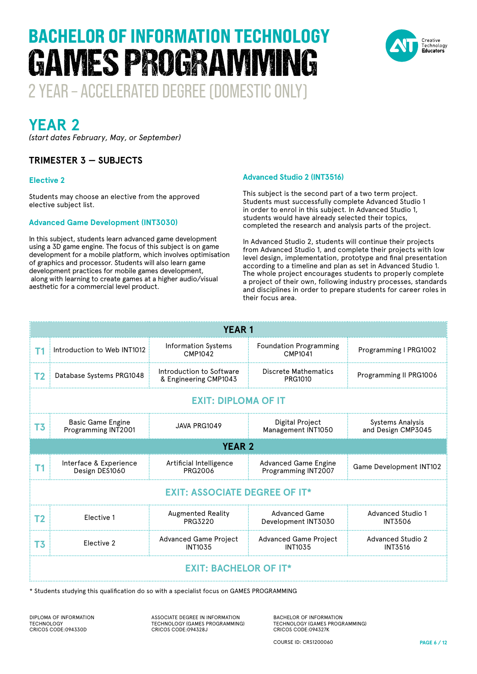

**YEAR 2**

*(start dates February, May, or September)*

#### **TRIMESTER 3 — SUBJECTS**

#### **Elective 2**

Students may choose an elective from the approved elective subject list.

#### **Advanced Game Development (INT3030)**

In this subject, students learn advanced game development using a 3D game engine. The focus of this subject is on game development for a mobile platform, which involves optimisation of graphics and processor. Students will also learn game development practices for mobile games development, along with learning to create games at a higher audio/visual aesthetic for a commercial level product.

#### **Advanced Studio 2 (INT3516)**

This subject is the second part of a two term project. Students must successfully complete Advanced Studio 1 in order to enrol in this subject. In Advanced Studio 1, students would have already selected their topics, completed the research and analysis parts of the project.

In Advanced Studio 2, students will continue their projects from Advanced Studio 1, and complete their projects with low level design, implementation, prototype and final presentation according to a timeline and plan as set in Advanced Studio 1. The whole project encourages students to properly complete a project of their own, following industry processes, standards and disciplines in order to prepare students for career roles in their focus area.

|                                      | <b>YEAR 1</b>                                   |                                                   |                                                    |                                               |  |  |
|--------------------------------------|-------------------------------------------------|---------------------------------------------------|----------------------------------------------------|-----------------------------------------------|--|--|
| T1                                   | Introduction to Web INT1012                     | <b>Information Systems</b><br>CMP1042             | <b>Foundation Programming</b><br>CMP1041           | Programming I PRG1002                         |  |  |
| T <sub>2</sub>                       | Database Systems PRG1048                        | Introduction to Software<br>& Engineering CMP1043 | Discrete Mathematics<br><b>PRG1010</b>             | Programming II PRG1006                        |  |  |
| <b>EXIT: DIPLOMA OF IT</b>           |                                                 |                                                   |                                                    |                                               |  |  |
| T <sub>3</sub>                       | <b>Basic Game Engine</b><br>Programming INT2001 | JAVA PRG1049                                      | Digital Project<br>Management INT1050              | <b>Systems Analysis</b><br>and Design CMP3045 |  |  |
| <b>YEAR 2</b>                        |                                                 |                                                   |                                                    |                                               |  |  |
| <b>T1</b>                            | Interface & Experience<br>Design DES1060        | Artificial Intelligence<br>PRG2006                | <b>Advanced Game Engine</b><br>Programming INT2007 | <b>Game Development INT102</b>                |  |  |
| <b>EXIT: ASSOCIATE DEGREE OF IT*</b> |                                                 |                                                   |                                                    |                                               |  |  |
| T2                                   | Elective 1                                      | <b>Augmented Reality</b><br><b>PRG3220</b>        | <b>Advanced Game</b><br>Development INT3030        | Advanced Studio 1<br><b>INT3506</b>           |  |  |
| T3                                   | Flective 2                                      | <b>Advanced Game Project</b><br><b>INT1035</b>    | <b>Advanced Game Project</b><br><b>INT1035</b>     | Advanced Studio 2<br><b>INT3516</b>           |  |  |
| <b>EXIT: BACHELOR OF IT*</b>         |                                                 |                                                   |                                                    |                                               |  |  |

\* Students studying this qualification do so with a specialist focus on GAMES PROGRAMMING

DIPLOMA OF INFORMATION TECHNOLOGY CRICOS CODE:094330D

ASSOCIATE DEGREE IN INFORMATION TECHNOLOGY (GAMES PROGRAMMING) CRICOS CODE:094328J

BACHELOR OF INFORMATION TECHNOLOGY (GAMES PROGRAMMING) CRICOS CODE:094327K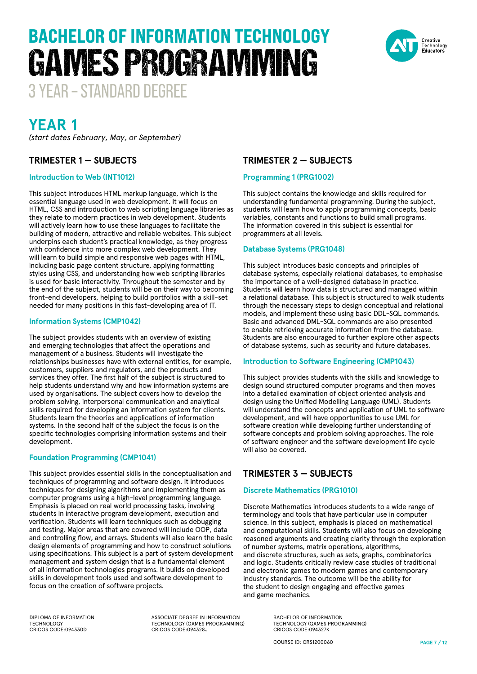# BACHELOR OF INFORMATION TECHNOLOGY GAMES PROGRAMMING



3 YEAR – STANDARD DEGREE

### **YEAR 1**

*(start dates February, May, or September)*

#### **TRIMESTER 1 — SUBJECTS**

#### **Introduction to Web (INT1012)**

This subject introduces HTML markup language, which is the essential language used in web development. It will focus on HTML, CSS and introduction to web scripting language libraries as they relate to modern practices in web development. Students will actively learn how to use these languages to facilitate the building of modern, attractive and reliable websites. This subject underpins each student's practical knowledge, as they progress with confidence into more complex web development. They will learn to build simple and responsive web pages with HTML, including basic page content structure, applying formatting styles using CSS, and understanding how web scripting libraries is used for basic interactivity. Throughout the semester and by the end of the subject, students will be on their way to becoming front-end developers, helping to build portfolios with a skill-set needed for many positions in this fast-developing area of IT.

#### **Information Systems (CMP1042)**

The subject provides students with an overview of existing and emerging technologies that affect the operations and management of a business. Students will investigate the relationships businesses have with external entities, for example, customers, suppliers and regulators, and the products and services they offer. The first half of the subject is structured to help students understand why and how information systems are used by organisations. The subject covers how to develop the problem solving, interpersonal communication and analytical skills required for developing an information system for clients. Students learn the theories and applications of information systems. In the second half of the subject the focus is on the specific technologies comprising information systems and their development.

#### **Foundation Programming (CMP1041)**

This subject provides essential skills in the conceptualisation and techniques of programming and software design. It introduces techniques for designing algorithms and implementing them as computer programs using a high-level programming language. Emphasis is placed on real world processing tasks, involving students in interactive program development, execution and verification. Students will learn techniques such as debugging and testing. Major areas that are covered will include OOP, data and controlling flow, and arrays. Students will also learn the basic design elements of programming and how to construct solutions using specifications. This subject is a part of system development management and system design that is a fundamental element of all information technologies programs. It builds on developed skills in development tools used and software development to focus on the creation of software projects.

#### **TRIMESTER 2 — SUBJECTS**

#### **Programming 1 (PRG1002)**

This subject contains the knowledge and skills required for understanding fundamental programming. During the subject, students will learn how to apply programming concepts, basic variables, constants and functions to build small programs. The information covered in this subject is essential for programmers at all levels.

#### **Database Systems (PRG1048)**

This subject introduces basic concepts and principles of database systems, especially relational databases, to emphasise the importance of a well-designed database in practice. Students will learn how data is structured and managed within a relational database. This subject is structured to walk students through the necessary steps to design conceptual and relational models, and implement these using basic DDL-SQL commands. Basic and advanced DML-SQL commands are also presented to enable retrieving accurate information from the database. Students are also encouraged to further explore other aspects of database systems, such as security and future databases.

#### **Introduction to Software Engineering (CMP1043)**

This subject provides students with the skills and knowledge to design sound structured computer programs and then moves into a detailed examination of object oriented analysis and design using the Unified Modelling Language (UML). Students will understand the concepts and application of UML to software development, and will have opportunities to use UML for software creation while developing further understanding of software concepts and problem solving approaches. The role of software engineer and the software development life cycle will also be covered.

#### **TRIMESTER 3 — SUBJECTS**

#### **Discrete Mathematics (PRG1010)**

Discrete Mathematics introduces students to a wide range of terminology and tools that have particular use in computer science. In this subject, emphasis is placed on mathematical and computational skills. Students will also focus on developing reasoned arguments and creating clarity through the exploration of number systems, matrix operations, algorithms, and discrete structures, such as sets, graphs, combinatorics and logic. Students critically review case studies of traditional and electronic games to modern games and contemporary industry standards. The outcome will be the ability for the student to design engaging and effective games and game mechanics.

DIPLOMA OF INFORMATION TECHNOLOGY CRICOS CODE:094330D

ASSOCIATE DEGREE IN INFORMATION TECHNOLOGY (GAMES PROGRAMMING) CRICOS CODE:094328J

BACHELOR OF INFORMATION TECHNOLOGY (GAMES PROGRAMMING) CRICOS CODE:094327K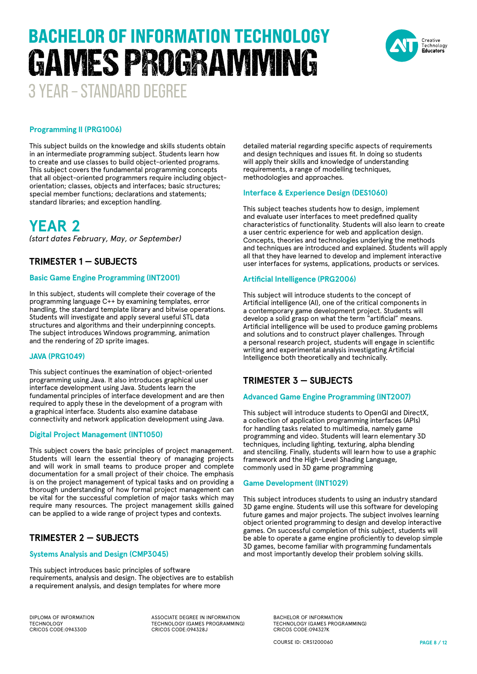# 3 YEAR – STANDARD DEGREE BACHELOR OF INFORMATION TECHNOLOGY GAMES PROGRAMMING



#### **Programming II (PRG1006)**

This subject builds on the knowledge and skills students obtain in an intermediate programming subject. Students learn how to create and use classes to build object-oriented programs. This subject covers the fundamental programming concepts that all object-oriented programmers require including objectorientation; classes, objects and interfaces; basic structures; special member functions; declarations and statements; standard libraries; and exception handling.

**YEAR 2** *(start dates February, May, or September)*

#### **TRIMESTER 1 — SUBJECTS**

#### **Basic Game Engine Programming (INT2001)**

In this subject, students will complete their coverage of the programming language C++ by examining templates, error handling, the standard template library and bitwise operations. Students will investigate and apply several useful STL data structures and algorithms and their underpinning concepts. The subject introduces Windows programming, animation and the rendering of 2D sprite images.

#### **JAVA (PRG1049)**

This subject continues the examination of object-oriented programming using Java. It also introduces graphical user interface development using Java. Students learn the fundamental principles of interface development and are then required to apply these in the development of a program with a graphical interface. Students also examine database connectivity and network application development using Java.

#### **Digital Project Management (INT1050)**

This subject covers the basic principles of project management. Students will learn the essential theory of managing projects and will work in small teams to produce proper and complete documentation for a small project of their choice. The emphasis is on the project management of typical tasks and on providing a thorough understanding of how formal project management can be vital for the successful completion of major tasks which may require many resources. The project management skills gained can be applied to a wide range of project types and contexts.

#### **TRIMESTER 2 — SUBJECTS**

#### **Systems Analysis and Design (CMP3045)**

This subject introduces basic principles of software requirements, analysis and design. The objectives are to establish a requirement analysis, and design templates for where more

detailed material regarding specific aspects of requirements and design techniques and issues fit. In doing so students will apply their skills and knowledge of understanding requirements, a range of modelling techniques, methodologies and approaches.

#### **Interface & Experience Design (DES1060)**

This subject teaches students how to design, implement and evaluate user interfaces to meet predefined quality characteristics of functionality. Students will also learn to create a user centric experience for web and application design. Concepts, theories and technologies underlying the methods and techniques are introduced and explained. Students will apply all that they have learned to develop and implement interactive user interfaces for systems, applications, products or services.

#### **Artificial Intelligence (PRG2006)**

This subject will introduce students to the concept of Artificial intelligence (AI), one of the critical components in a contemporary game development project. Students will develop a solid grasp on what the term "artificial" means. Artificial intelligence will be used to produce gaming problems and solutions and to construct player challenges. Through a personal research project, students will engage in scientific writing and experimental analysis investigating Artificial Intelligence both theoretically and technically.

#### **TRIMESTER 3 — SUBJECTS**

#### **Advanced Game Engine Programming (INT2007)**

This subject will introduce students to OpenGl and DirectX, a collection of application programming interfaces (APIs) for handling tasks related to multimedia, namely game programming and video. Students will learn elementary 3D techniques, including lighting, texturing, alpha blending and stenciling. Finally, students will learn how to use a graphic framework and the High-Level Shading Language, commonly used in 3D game programming

#### **Game Development (INT1029)**

This subject introduces students to using an industry standard 3D game engine. Students will use this software for developing future games and major projects. The subject involves learning object oriented programming to design and develop interactive games. On successful completion of this subject, students will be able to operate a game engine proficiently to develop simple 3D games, become familiar with programming fundamentals and most importantly develop their problem solving skills.

DIPLOMA OF INFORMATION TECHNOLOGY CRICOS CODE:094330D

ASSOCIATE DEGREE IN INFORMATION TECHNOLOGY (GAMES PROGRAMMING) CRICOS CODE:094328J

BACHELOR OF INFORMATION TECHNOLOGY (GAMES PROGRAMMING) CRICOS CODE:094327K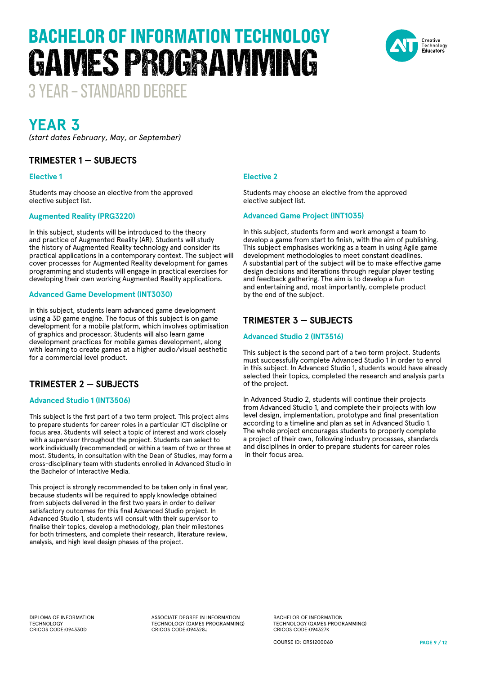# BACHELOR OF INFORMATION TECHNOLOGY GAMES PROGRAMMING



3 YEAR – STANDARD DEGREE

### **YEAR 3**

*(start dates February, May, or September)*

#### **TRIMESTER 1 — SUBJECTS**

#### **Elective 1**

Students may choose an elective from the approved elective subject list.

#### **Augmented Reality (PRG3220)**

In this subject, students will be introduced to the theory and practice of Augmented Reality (AR). Students will study the history of Augmented Reality technology and consider its practical applications in a contemporary context. The subject will cover processes for Augmented Reality development for games programming and students will engage in practical exercises for developing their own working Augmented Reality applications.

#### **Advanced Game Development (INT3030)**

In this subject, students learn advanced game development using a 3D game engine. The focus of this subject is on game development for a mobile platform, which involves optimisation of graphics and processor. Students will also learn game development practices for mobile games development, along with learning to create games at a higher audio/visual aesthetic for a commercial level product.

#### **TRIMESTER 2 — SUBJECTS**

#### **Advanced Studio 1 (INT3506)**

This subject is the first part of a two term project. This project aims to prepare students for career roles in a particular ICT discipline or focus area. Students will select a topic of interest and work closely with a supervisor throughout the project. Students can select to work individually (recommended) or within a team of two or three at most. Students, in consultation with the Dean of Studies, may form a cross-disciplinary team with students enrolled in Advanced Studio in the Bachelor of Interactive Media.

This project is strongly recommended to be taken only in final year, because students will be required to apply knowledge obtained from subjects delivered in the first two years in order to deliver satisfactory outcomes for this final Advanced Studio project. In Advanced Studio 1, students will consult with their supervisor to finalise their topics, develop a methodology, plan their milestones for both trimesters, and complete their research, literature review, analysis, and high level design phases of the project.

#### **Elective 2**

Students may choose an elective from the approved elective subject list.

#### **Advanced Game Project (INT1035)**

In this subject, students form and work amongst a team to develop a game from start to finish, with the aim of publishing. This subject emphasises working as a team in using Agile game development methodologies to meet constant deadlines. A substantial part of the subject will be to make effective game design decisions and iterations through regular player testing and feedback gathering. The aim is to develop a fun and entertaining and, most importantly, complete product by the end of the subject.

#### **TRIMESTER 3 — SUBJECTS**

#### **Advanced Studio 2 (INT3516)**

This subject is the second part of a two term project. Students must successfully complete Advanced Studio 1 in order to enrol in this subject. In Advanced Studio 1, students would have already selected their topics, completed the research and analysis parts of the project.

In Advanced Studio 2, students will continue their projects from Advanced Studio 1, and complete their projects with low level design, implementation, prototype and final presentation according to a timeline and plan as set in Advanced Studio 1. The whole project encourages students to properly complete a project of their own, following industry processes, standards and disciplines in order to prepare students for career roles in their focus area.

DIPLOMA OF INFORMATION TECHNOLOGY CRICOS CODE:094330D

ASSOCIATE DEGREE IN INFORMATION TECHNOLOGY (GAMES PROGRAMMING) CRICOS CODE:094328J

BACHELOR OF INFORMATION TECHNOLOGY (GAMES PROGRAMMING) CRICOS CODE:094327K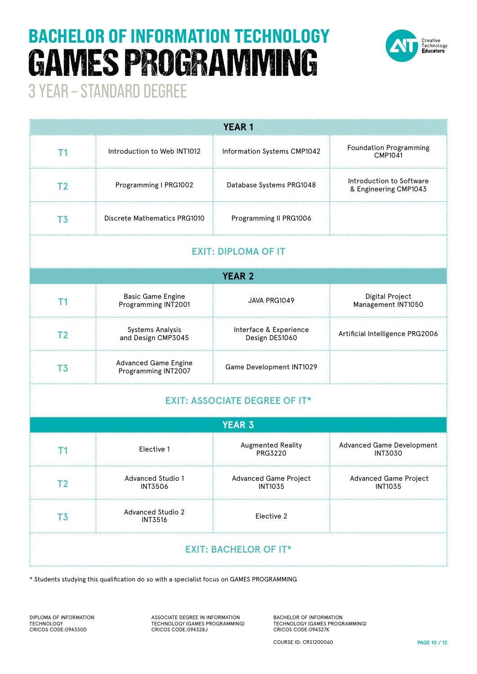# BACHELOR OF INFORMATION TECHNOLOGY GAMES PROGRAMMING



3 YEAR – STANDARD DEGREE

| <b>YEAR1</b>                         |                                                    |                                                |                                                    |  |  |  |  |
|--------------------------------------|----------------------------------------------------|------------------------------------------------|----------------------------------------------------|--|--|--|--|
| T <sub>1</sub>                       | Introduction to Web INT1012                        | Information Systems CMP1042                    | <b>Foundation Programming</b><br><b>CMP1041</b>    |  |  |  |  |
| T <sub>2</sub>                       | Programming I PRG1002                              | Database Systems PRG1048                       | Introduction to Software<br>& Engineering CMP1043  |  |  |  |  |
| T <sub>3</sub>                       | Discrete Mathematics PRG1010                       | Programming II PRG1006                         |                                                    |  |  |  |  |
| <b>EXIT: DIPLOMA OF IT</b>           |                                                    |                                                |                                                    |  |  |  |  |
| <b>YEAR 2</b>                        |                                                    |                                                |                                                    |  |  |  |  |
| <b>T1</b>                            | <b>Basic Game Engine</b><br>Programming INT2001    | JAVA PRG1049                                   | Digital Project<br>Management INT1050              |  |  |  |  |
| T <sub>2</sub>                       | <b>Systems Analysis</b><br>and Design CMP3045      | Interface & Experience<br>Design DES1060       | Artificial Intelligence PRG2006                    |  |  |  |  |
| T <sub>3</sub>                       | <b>Advanced Game Engine</b><br>Programming INT2007 | Game Development INT1029                       |                                                    |  |  |  |  |
| <b>EXIT: ASSOCIATE DEGREE OF IT*</b> |                                                    |                                                |                                                    |  |  |  |  |
|                                      |                                                    | <b>YEAR 3</b>                                  |                                                    |  |  |  |  |
| Τ1                                   | Elective 1                                         | <b>Augmented Reality</b><br>PRG3220            | <b>Advanced Game Development</b><br><b>INT3030</b> |  |  |  |  |
| T <sub>2</sub>                       | Advanced Studio 1<br><b>INT3506</b>                | <b>Advanced Game Project</b><br><b>INT1035</b> | <b>Advanced Game Project</b><br><b>INT1035</b>     |  |  |  |  |
| T <sub>3</sub>                       | <b>Advanced Studio 2</b><br><b>INT3516</b>         | Elective 2                                     |                                                    |  |  |  |  |
| <b>EXIT: BACHELOR OF IT*</b>         |                                                    |                                                |                                                    |  |  |  |  |

\* Students studying this qualification do so with a specialist focus on GAMES PROGRAMMING

DIPLOMA OF INFORMATION TECHNOLOGY CRICOS CODE:094330D

ASSOCIATE DEGREE IN INFORMATION TECHNOLOGY (GAMES PROGRAMMING) CRICOS CODE:094328J

BACHELOR OF INFORMATION TECHNOLOGY (GAMES PROGRAMMING) CRICOS CODE:094327K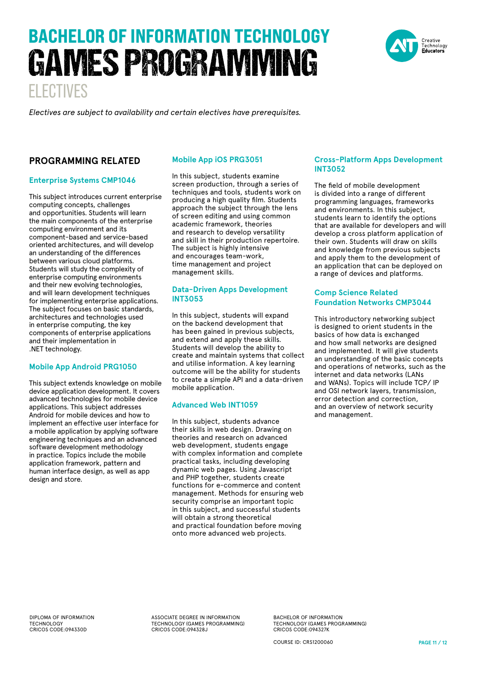# ELECTIVES BACHELOR OF INFORMATION TECHNOLOGY GAMES PROGRAMMING



*Electives are subject to availability and certain electives have prerequisites.* 

#### **PROGRAMMING RELATED**

#### **Enterprise Systems CMP1046**

This subject introduces current enterprise computing concepts, challenges and opportunities. Students will learn the main components of the enterprise computing environment and its component-based and service-based oriented architectures, and will develop an understanding of the differences between various cloud platforms. Students will study the complexity of enterprise computing environments and their new evolving technologies, and will learn development techniques for implementing enterprise applications. The subject focuses on basic standards, architectures and technologies used in enterprise computing, the key components of enterprise applications and their implementation in .NET technology.

#### **Mobile App Android PRG1050**

This subject extends knowledge on mobile device application development. It covers advanced technologies for mobile device applications. This subject addresses Android for mobile devices and how to implement an effective user interface for a mobile application by applying software engineering techniques and an advanced software development methodology in practice. Topics include the mobile application framework, pattern and human interface design, as well as app design and store.

#### **Mobile App iOS PRG3051**

In this subject, students examine screen production, through a series of techniques and tools, students work on producing a high quality film. Students approach the subject through the lens of screen editing and using common academic framework, theories and research to develop versatility and skill in their production repertoire. The subject is highly intensive and encourages team-work, time management and project management skills.

#### **Data-Driven Apps Development INT3053**

In this subject, students will expand on the backend development that has been gained in previous subjects, and extend and apply these skills. Students will develop the ability to create and maintain systems that collect and utilise information. A key learning outcome will be the ability for students to create a simple API and a data-driven mobile application.

#### **Advanced Web INT1059**

In this subject, students advance their skills in web design. Drawing on theories and research on advanced web development, students engage with complex information and complete practical tasks, including developing dynamic web pages. Using Javascript and PHP together, students create functions for e-commerce and content management. Methods for ensuring web security comprise an important topic in this subject, and successful students will obtain a strong theoretical and practical foundation before moving onto more advanced web projects.

#### **Cross-Platform Apps Development INT3052**

The field of mobile development is divided into a range of different programming languages, frameworks and environments. In this subject, students learn to identify the options that are available for developers and will develop a cross platform application of their own. Students will draw on skills and knowledge from previous subjects and apply them to the development of an application that can be deployed on a range of devices and platforms.

#### **Comp Science Related Foundation Networks CMP3044**

This introductory networking subject is designed to orient students in the basics of how data is exchanged and how small networks are designed and implemented. It will give students an understanding of the basic concepts and operations of networks, such as the internet and data networks (LANs and WANs). Topics will include TCP/ IP and OSI network layers, transmission, error detection and correction, and an overview of network security and management.

DIPLOMA OF INFORMATION TECHNOLOGY CRICOS CODE:094330D

ASSOCIATE DEGREE IN INFORMATION TECHNOLOGY (GAMES PROGRAMMING) CRICOS CODE:094328J

BACHELOR OF INFORMATION TECHNOLOGY (GAMES PROGRAMMING) CRICOS CODE:094327K